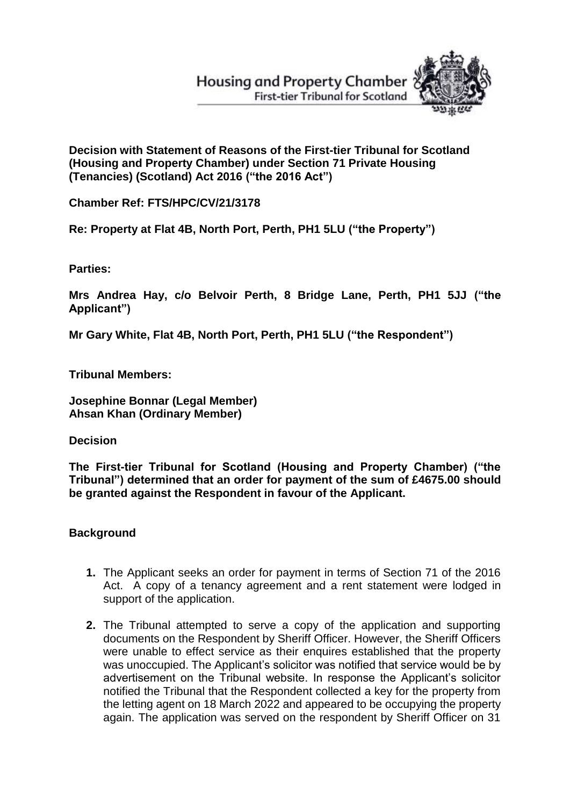# **Housing and Property Chamber First-tier Tribunal for Scotland**



**Decision with Statement of Reasons of the First-tier Tribunal for Scotland (Housing and Property Chamber) under Section 71 Private Housing (Tenancies) (Scotland) Act 2016 ("the 2016 Act")** 

**Chamber Ref: FTS/HPC/CV/21/3178**

**Re: Property at Flat 4B, North Port, Perth, PH1 5LU ("the Property")**

**Parties:**

**Mrs Andrea Hay, c/o Belvoir Perth, 8 Bridge Lane, Perth, PH1 5JJ ("the Applicant")**

**Mr Gary White, Flat 4B, North Port, Perth, PH1 5LU ("the Respondent")** 

**Tribunal Members:**

**Josephine Bonnar (Legal Member) Ahsan Khan (Ordinary Member)**

**Decision** 

**The First-tier Tribunal for Scotland (Housing and Property Chamber) ("the Tribunal") determined that an order for payment of the sum of £4675.00 should be granted against the Respondent in favour of the Applicant.**

## **Background**

- **1.** The Applicant seeks an order for payment in terms of Section 71 of the 2016 Act. A copy of a tenancy agreement and a rent statement were lodged in support of the application.
- **2.** The Tribunal attempted to serve a copy of the application and supporting documents on the Respondent by Sheriff Officer. However, the Sheriff Officers were unable to effect service as their enquires established that the property was unoccupied. The Applicant's solicitor was notified that service would be by advertisement on the Tribunal website. In response the Applicant's solicitor notified the Tribunal that the Respondent collected a key for the property from the letting agent on 18 March 2022 and appeared to be occupying the property again. The application was served on the respondent by Sheriff Officer on 31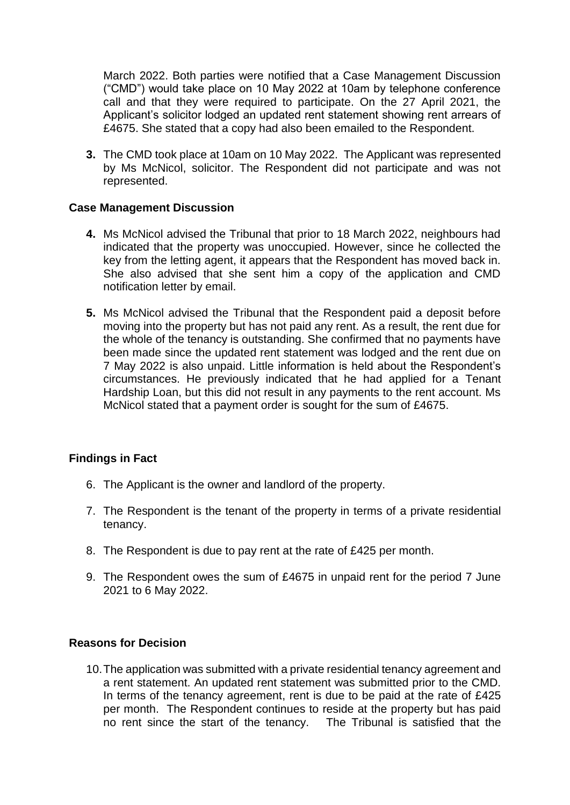March 2022. Both parties were notified that a Case Management Discussion ("CMD") would take place on 10 May 2022 at 10am by telephone conference call and that they were required to participate. On the 27 April 2021, the Applicant's solicitor lodged an updated rent statement showing rent arrears of £4675. She stated that a copy had also been emailed to the Respondent.

**3.** The CMD took place at 10am on 10 May 2022. The Applicant was represented by Ms McNicol, solicitor. The Respondent did not participate and was not represented.

#### **Case Management Discussion**

- **4.** Ms McNicol advised the Tribunal that prior to 18 March 2022, neighbours had indicated that the property was unoccupied. However, since he collected the key from the letting agent, it appears that the Respondent has moved back in. She also advised that she sent him a copy of the application and CMD notification letter by email.
- **5.** Ms McNicol advised the Tribunal that the Respondent paid a deposit before moving into the property but has not paid any rent. As a result, the rent due for the whole of the tenancy is outstanding. She confirmed that no payments have been made since the updated rent statement was lodged and the rent due on 7 May 2022 is also unpaid. Little information is held about the Respondent's circumstances. He previously indicated that he had applied for a Tenant Hardship Loan, but this did not result in any payments to the rent account. Ms McNicol stated that a payment order is sought for the sum of £4675.

### **Findings in Fact**

- 6. The Applicant is the owner and landlord of the property.
- 7. The Respondent is the tenant of the property in terms of a private residential tenancy.
- 8. The Respondent is due to pay rent at the rate of £425 per month.
- 9. The Respondent owes the sum of £4675 in unpaid rent for the period 7 June 2021 to 6 May 2022.

## **Reasons for Decision**

10.The application was submitted with a private residential tenancy agreement and a rent statement. An updated rent statement was submitted prior to the CMD. In terms of the tenancy agreement, rent is due to be paid at the rate of £425 per month. The Respondent continues to reside at the property but has paid no rent since the start of the tenancy. The Tribunal is satisfied that the